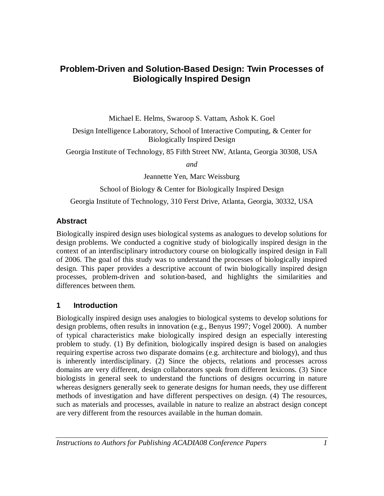## **Problem-Driven and Solution-Based Design: Twin Processes of Biologically Inspired Design**

Michael E. Helms, Swaroop S. Vattam, Ashok K. Goel

Design Intelligence Laboratory, School of Interactive Computing, & Center for Biologically Inspired Design

Georgia Institute of Technology, 85 Fifth Street NW, Atlanta, Georgia 30308, USA

*and*

Jeannette Yen, Marc Weissburg

School of Biology & Center for Biologically Inspired Design

Georgia Institute of Technology, 310 Ferst Drive, Atlanta, Georgia, 30332, USA

#### **Abstract**

Biologically inspired design uses biological systems as analogues to develop solutions for design problems. We conducted a cognitive study of biologically inspired design in the context of an interdisciplinary introductory course on biologically inspired design in Fall of 2006. The goal of this study was to understand the processes of biologically inspired design. This paper provides a descriptive account of twin biologically inspired design processes, problem-driven and solution-based, and highlights the similarities and differences between them.

#### **1 Introduction**

Biologically inspired design uses analogies to biological systems to develop solutions for design problems, often results in innovation (e.g., Benyus 1997; Vogel 2000). A number of typical characteristics make biologically inspired design an especially interesting problem to study. (1) By definition, biologically inspired design is based on analogies requiring expertise across two disparate domains (e.g. architecture and biology), and thus is inherently interdisciplinary. (2) Since the objects, relations and processes across domains are very different, design collaborators speak from different lexicons. (3) Since biologists in general seek to understand the functions of designs occurring in nature whereas designers generally seek to generate designs for human needs, they use different methods of investigation and have different perspectives on design. (4) The resources, such as materials and processes, available in nature to realize an abstract design concept are very different from the resources available in the human domain.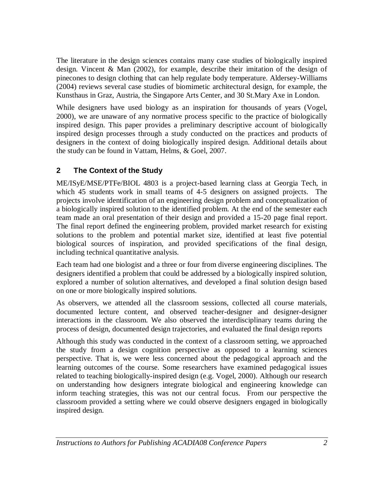The literature in the design sciences contains many case studies of biologically inspired design. Vincent & Man (2002), for example, describe their imitation of the design of pinecones to design clothing that can help regulate body temperature. Aldersey-Williams (2004) reviews several case studies of biomimetic architectural design, for example, the Kunsthaus in Graz, Austria, the Singapore Arts Center, and 30 St.Mary Axe in London.

While designers have used biology as an inspiration for thousands of years (Vogel, 2000), we are unaware of any normative process specific to the practice of biologically inspired design. This paper provides a preliminary descriptive account of biologically inspired design processes through a study conducted on the practices and products of designers in the context of doing biologically inspired design. Additional details about the study can be found in Vattam, Helms, & Goel, 2007.

## **2 The Context of the Study**

ME/ISyE/MSE/PTFe/BIOL 4803 is a project-based learning class at Georgia Tech, in which 45 students work in small teams of 4-5 designers on assigned projects. The projects involve identification of an engineering design problem and conceptualization of a biologically inspired solution to the identified problem. At the end of the semester each team made an oral presentation of their design and provided a 15-20 page final report. The final report defined the engineering problem, provided market research for existing solutions to the problem and potential market size, identified at least five potential biological sources of inspiration, and provided specifications of the final design, including technical quantitative analysis.

Each team had one biologist and a three or four from diverse engineering disciplines. The designers identified a problem that could be addressed by a biologically inspired solution, explored a number of solution alternatives, and developed a final solution design based on one or more biologically inspired solutions.

As observers, we attended all the classroom sessions, collected all course materials, documented lecture content, and observed teacher-designer and designer-designer interactions in the classroom. We also observed the interdisciplinary teams during the process of design, documented design trajectories, and evaluated the final design reports

Although this study was conducted in the context of a classroom setting, we approached the study from a design cognition perspective as opposed to a learning sciences perspective. That is, we were less concerned about the pedagogical approach and the learning outcomes of the course. Some researchers have examined pedagogical issues related to teaching biologically-inspired design (e.g. Vogel, 2000). Although our research on understanding how designers integrate biological and engineering knowledge can inform teaching strategies, this was not our central focus. From our perspective the classroom provided a setting where we could observe designers engaged in biologically inspired design.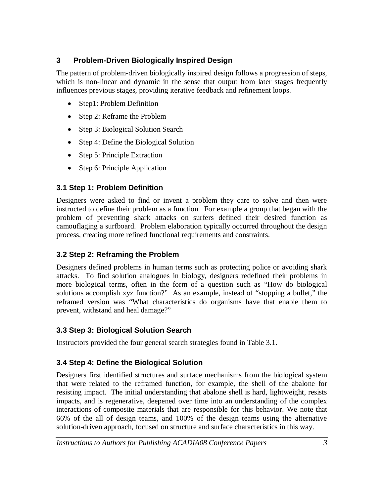## **3 Problem-Driven Biologically Inspired Design**

The pattern of problem-driven biologically inspired design follows a progression of steps, which is non-linear and dynamic in the sense that output from later stages frequently influences previous stages, providing iterative feedback and refinement loops.

- Step1: Problem Definition
- Step 2: Reframe the Problem
- Step 3: Biological Solution Search
- Step 4: Define the Biological Solution
- Step 5: Principle Extraction
- Step 6: Principle Application

# **3.1 Step 1: Problem Definition**

Designers were asked to find or invent a problem they care to solve and then were instructed to define their problem as a function. For example a group that began with the problem of preventing shark attacks on surfers defined their desired function as camouflaging a surfboard. Problem elaboration typically occurred throughout the design process, creating more refined functional requirements and constraints.

# **3.2 Step 2: Reframing the Problem**

Designers defined problems in human terms such as protecting police or avoiding shark attacks. To find solution analogues in biology, designers redefined their problems in more biological terms, often in the form of a question such as "How do biological solutions accomplish xyz function?" As an example, instead of "stopping a bullet," the reframed version was "What characteristics do organisms have that enable them to prevent, withstand and heal damage?"

## **3.3 Step 3: Biological Solution Search**

Instructors provided the four general search strategies found in Table 3.1.

# **3.4 Step 4: Define the Biological Solution**

Designers first identified structures and surface mechanisms from the biological system that were related to the reframed function, for example, the shell of the abalone for resisting impact. The initial understanding that abalone shell is hard, lightweight, resists impacts, and is regenerative, deepened over time into an understanding of the complex interactions of composite materials that are responsible for this behavior. We note that 66% of the all of design teams, and 100% of the design teams using the alternative solution-driven approach, focused on structure and surface characteristics in this way.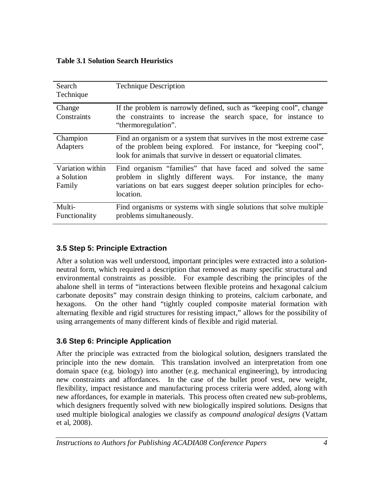#### **Table 3.1 Solution Search Heuristics**

| Search<br>Technique                      | <b>Technique Description</b>                                                                                                                                                                                   |  |  |  |  |  |
|------------------------------------------|----------------------------------------------------------------------------------------------------------------------------------------------------------------------------------------------------------------|--|--|--|--|--|
| Change<br>Constraints                    | If the problem is narrowly defined, such as "keeping cool", change<br>the constraints to increase the search space, for instance to<br>"thermoregulation".                                                     |  |  |  |  |  |
| Champion<br>Adapters                     | Find an organism or a system that survives in the most extreme case<br>of the problem being explored. For instance, for "keeping cool",<br>look for animals that survive in dessert or equatorial climates.    |  |  |  |  |  |
| Variation within<br>a Solution<br>Family | Find organism "families" that have faced and solved the same<br>problem in slightly different ways. For instance, the many<br>variations on bat ears suggest deeper solution principles for echo-<br>location. |  |  |  |  |  |
| Multi-<br>Functionality                  | Find organisms or systems with single solutions that solve multiple<br>problems simultaneously.                                                                                                                |  |  |  |  |  |

## **3.5 Step 5: Principle Extraction**

After a solution was well understood, important principles were extracted into a solutionneutral form, which required a description that removed as many specific structural and environmental constraints as possible. For example describing the principles of the abalone shell in terms of "interactions between flexible proteins and hexagonal calcium carbonate deposits" may constrain design thinking to proteins, calcium carbonate, and hexagons. On the other hand "tightly coupled composite material formation with alternating flexible and rigid structures for resisting impact," allows for the possibility of using arrangements of many different kinds of flexible and rigid material.

## **3.6 Step 6: Principle Application**

After the principle was extracted from the biological solution, designers translated the principle into the new domain. This translation involved an interpretation from one domain space (e.g. biology) into another (e.g. mechanical engineering), by introducing new constraints and affordances. In the case of the bullet proof vest, new weight, flexibility, impact resistance and manufacturing process criteria were added, along with new affordances, for example in materials. This process often created new sub-problems, which designers frequently solved with new biologically inspired solutions*.* Designs that used multiple biological analogies we classify as *compound analogical designs* (Vattam et al, 2008).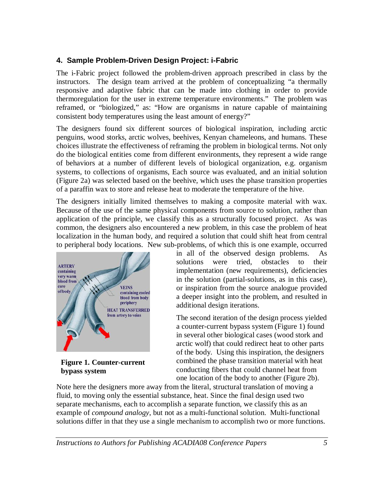## **4. Sample Problem-Driven Design Project: i-Fabric**

The i-Fabric project followed the problem-driven approach prescribed in class by the instructors. The design team arrived at the problem of conceptualizing "a thermally responsive and adaptive fabric that can be made into clothing in order to provide thermoregulation for the user in extreme temperature environments." The problem was reframed, or "biologized," as: "How are organisms in nature capable of maintaining consistent body temperatures using the least amount of energy?"

The designers found six different sources of biological inspiration, including arctic penguins, wood storks, arctic wolves, beehives, Kenyan chameleons, and humans. These choices illustrate the effectiveness of reframing the problem in biological terms. Not only do the biological entities come from different environments, they represent a wide range of behaviors at a number of different levels of biological organization, e.g. organism systems, to collections of organisms, Each source was evaluated, and an initial solution (Figure 2a) was selected based on the beehive, which uses the phase transition properties of a paraffin wax to store and release heat to moderate the temperature of the hive.

The designers initially limited themselves to making a composite material with wax. Because of the use of the same physical components from source to solution, rather than application of the principle, we classify this as a structurally focused project. As was common, the designers also encountered a new problem, in this case the problem of heat localization in the human body, and required a solution that could shift heat from central to peripheral body locations. New sub-problems, of which this is one example, occurred



**Figure 1. Counter-current bypass system**

in all of the observed design problems. As solutions were tried, obstacles to their implementation (new requirements), deficiencies in the solution (partial-solutions, as in this case), or inspiration from the source analogue provided a deeper insight into the problem, and resulted in additional design iterations.

The second iteration of the design process yielded a counter-current bypass system (Figure 1) found in several other biological cases (wood stork and arctic wolf) that could redirect heat to other parts of the body. Using this inspiration, the designers combined the phase transition material with heat conducting fibers that could channel heat from one location of the body to another (Figure 2b).

Note here the designers more away from the literal, structural translation of moving a fluid, to moving only the essential substance, heat. Since the final design used two separate mechanisms, each to accomplish a separate function, we classify this as an example of *compound analogy*, but not as a multi-functional solution. Multi-functional solutions differ in that they use a single mechanism to accomplish two or more functions.

*Instructions to Authors for Publishing ACADIA08 Conference Papers 5*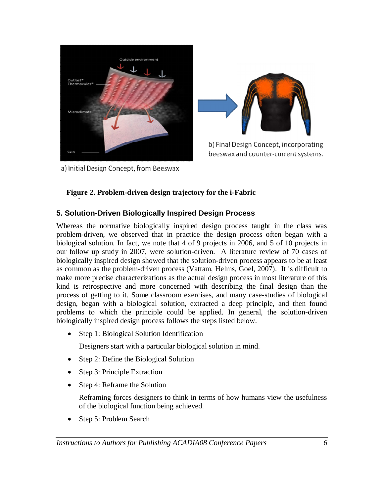



b) Final Design Concept, incorporating beeswax and counter-current systems.

a) Initial Design Concept, from Beeswax

**project.**

### **Figure 2. Problem-driven design trajectory for the i-Fabric**

### **5. Solution-Driven Biologically Inspired Design Process**

Whereas the normative biologically inspired design process taught in the class was problem-driven, we observed that in practice the design process often began with a biological solution. In fact, we note that 4 of 9 projects in 2006, and 5 of 10 projects in our follow up study in 2007, were solution-driven. A literature review of 70 cases of biologically inspired design showed that the solution-driven process appears to be at least as common as the problem-driven process (Vattam, Helms, Goel, 2007). It is difficult to make more precise characterizations as the actual design process in most literature of this kind is retrospective and more concerned with describing the final design than the process of getting to it. Some classroom exercises, and many case-studies of biological design, began with a biological solution, extracted a deep principle, and then found problems to which the principle could be applied. In general, the solution-driven biologically inspired design process follows the steps listed below.

• Step 1: Biological Solution Identification

Designers start with a particular biological solution in mind.

- Step 2: Define the Biological Solution
- Step 3: Principle Extraction
- Step 4: Reframe the Solution

Reframing forces designers to think in terms of how humans view the usefulness of the biological function being achieved.

Step 5: Problem Search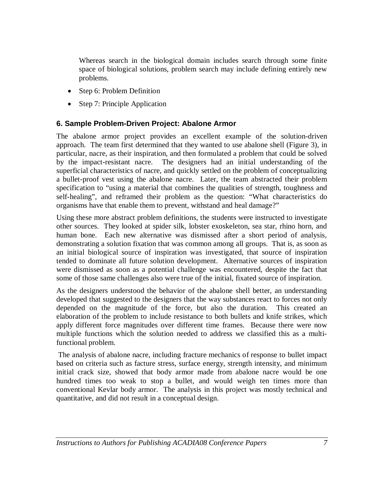Whereas search in the biological domain includes search through some finite space of biological solutions, problem search may include defining entirely new problems.

- Step 6: Problem Definition
- Step 7: Principle Application

#### **6. Sample Problem-Driven Project: Abalone Armor**

The abalone armor project provides an excellent example of the solution-driven approach. The team first determined that they wanted to use abalone shell (Figure 3), in particular, nacre, as their inspiration, and then formulated a problem that could be solved by the impact-resistant nacre. The designers had an initial understanding of the superficial characteristics of nacre, and quickly settled on the problem of conceptualizing a bullet-proof vest using the abalone nacre. Later, the team abstracted their problem specification to "using a material that combines the qualities of strength, toughness and self-healing", and reframed their problem as the question: "What characteristics do organisms have that enable them to prevent, withstand and heal damage?"

Using these more abstract problem definitions, the students were instructed to investigate other sources. They looked at spider silk, lobster exoskeleton, sea star, rhino horn, and human bone. Each new alternative was dismissed after a short period of analysis, demonstrating a solution fixation that was common among all groups. That is, as soon as an initial biological source of inspiration was investigated, that source of inspiration tended to dominate all future solution development. Alternative sources of inspiration were dismissed as soon as a potential challenge was encountered, despite the fact that some of those same challenges also were true of the initial, fixated source of inspiration.

As the designers understood the behavior of the abalone shell better, an understanding developed that suggested to the designers that the way substances react to forces not only depended on the magnitude of the force, but also the duration. This created an elaboration of the problem to include resistance to both bullets and knife strikes, which apply different force magnitudes over different time frames. Because there were now multiple functions which the solution needed to address we classified this as a multifunctional problem.

The analysis of abalone nacre, including fracture mechanics of response to bullet impact based on criteria such as facture stress, surface energy, strength intensity, and minimum initial crack size, showed that body armor made from abalone nacre would be one hundred times too weak to stop a bullet, and would weigh ten times more than conventional Kevlar body armor. The analysis in this project was mostly technical and quantitative, and did not result in a conceptual design.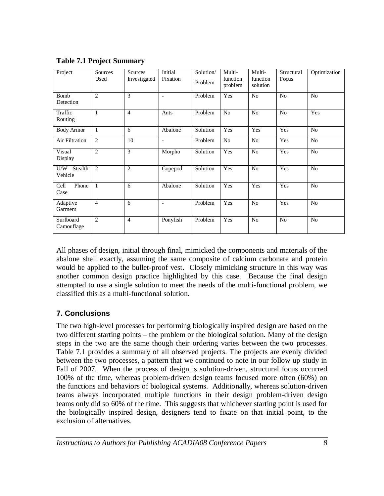| Project                   | Sources<br>Used | Sources<br>Investigated | Initial<br>Fixation | Solution/<br>Problem | Multi-<br>function<br>problem | Multi-<br>function<br>solution | Structural<br>Focus | Optimization   |
|---------------------------|-----------------|-------------------------|---------------------|----------------------|-------------------------------|--------------------------------|---------------------|----------------|
| <b>Bomb</b><br>Detection  | $\overline{2}$  | 3                       | $\overline{a}$      | Problem              | Yes                           | N <sub>o</sub>                 | No                  | N <sub>0</sub> |
| Traffic<br>Routing        | 1               | $\overline{4}$          | Ants                | Problem              | N <sub>o</sub>                | N <sub>o</sub>                 | N <sub>o</sub>      | Yes            |
| <b>Body Armor</b>         | $\mathbf{1}$    | 6                       | Abalone             | Solution             | Yes                           | Yes                            | Yes                 | N <sub>o</sub> |
| Air Filtration            | $\overline{2}$  | 10                      | $\overline{a}$      | Problem              | No                            | No                             | Yes                 | N <sub>o</sub> |
| Visual<br>Display         | $\overline{2}$  | 3                       | Morpho              | Solution             | Yes                           | N <sub>o</sub>                 | Yes                 | No             |
| Stealth<br>U/W<br>Vehicle | 2               | $\overline{2}$          | Copepod             | Solution             | Yes                           | No                             | Yes                 | N <sub>o</sub> |
| Phone<br>Cell<br>Case     | $\mathbf{1}$    | 6                       | Abalone             | Solution             | Yes                           | Yes                            | Yes                 | No             |
| Adaptive<br>Garment       | $\overline{4}$  | 6                       | $\overline{a}$      | Problem              | Yes                           | No                             | Yes                 | N <sub>o</sub> |
| Surfboard<br>Camouflage   | $\overline{2}$  | $\overline{4}$          | Ponyfish            | Problem              | Yes                           | N <sub>o</sub>                 | N <sub>o</sub>      | No             |

**Table 7.1 Project Summary**

All phases of design, initial through final, mimicked the components and materials of the abalone shell exactly, assuming the same composite of calcium carbonate and protein would be applied to the bullet-proof vest. Closely mimicking structure in this way was another common design practice highlighted by this case. Because the final design attempted to use a single solution to meet the needs of the multi-functional problem, we classified this as a multi-functional solution.

## **7. Conclusions**

The two high-level processes for performing biologically inspired design are based on the two different starting points – the problem or the biological solution. Many of the design steps in the two are the same though their ordering varies between the two processes. Table 7.1 provides a summary of all observed projects. The projects are evenly divided between the two processes, a pattern that we continued to note in our follow up study in Fall of 2007. When the process of design is solution-driven, structural focus occurred 100% of the time, whereas problem-driven design teams focused more often (60%) on the functions and behaviors of biological systems. Additionally, whereas solution-driven teams always incorporated multiple functions in their design problem-driven design teams only did so 60% of the time. This suggests that whichever starting point is used for the biologically inspired design, designers tend to fixate on that initial point, to the exclusion of alternatives.